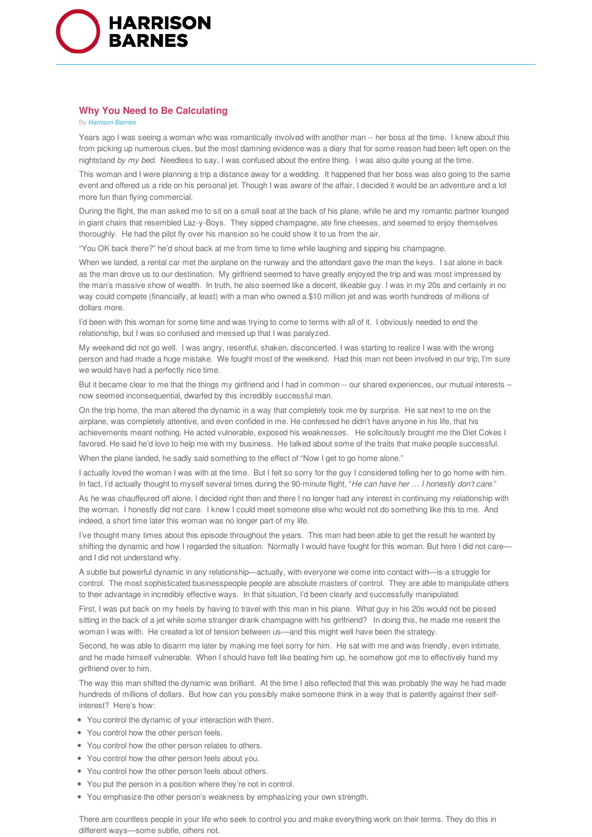

## **Why You Need to Be Calculating**

## By *Harrison Barnes*

Years ago I was seeing a woman who was romantically involved with another man -- her boss at the time. I knew about this from picking up numerous clues, but the most damning evidence was a diary that for some reason had been left open on the nightstand *by my bed*. Needless to say, I was confused about the entire thing. I was also quite young at the time.

This woman and I were planning a trip a distance away for a wedding. It happened that her boss was also going to the same event and offered us a ride on his personal jet. Though I was aware of the affair, I decided it would be an adventure and a lot more fun than flying commercial.

During the flight, the man asked me to sit on a small seat at the back of his plane, while he and my romantic partner lounged in giant chairs that resembled Laz-y-Boys. They sipped champagne, ate fine cheeses, and seemed to enjoy themselves thoroughly. He had the pilot fly over his mansion so he could show it to us from the air.

"You OK back there?" he'd shout back at me from time to time while laughing and sipping his champagne.

When we landed, a rental car met the airplane on the runway and the attendant gave the man the keys. I sat alone in back as the man drove us to our destination. My girlfriend seemed to have greatly enjoyed the trip and was most impressed by the man's massive show of wealth. In truth, he also seemed like a decent, likeable guy. I was in my 20s and certainly in no way could compete (financially, at least) with a man who owned a \$10 million jet and was worth hundreds of millions of dollars more.

I'd been with this woman for some time and was trying to come to terms with all of it. I obviously needed to end the relationship, but I was so confused and messed up that I was paralyzed.

My weekend did not go well. I was angry, resentful, shaken, disconcerted. I was starting to realize I was with the wrong person and had made a huge mistake. We fought most of the weekend. Had this man not been involved in our trip, I'm sure we would have had a perfectly nice time.

But it became clear to me that the things my girlfriend and I had in common -- our shared experiences, our mutual interests – now seemed inconsequential, dwarfed by this incredibly successful man.

On the trip home, the man altered the dynamic in a way that completely took me by surprise. He sat next to me on the airplane, was completely attentive, and even confided in me. He confessed he didn't have anyone in his life, that his achievements meant nothing. He acted vulnerable, exposed his weaknesses. He solicitously brought me the Diet Cokes I favored. He said he'd love to help me with my business. He talked about some of the traits that make people successful.

When the plane landed, he sadly said something to the effect of "Now I get to go home alone."

I actually loved the woman I was with at the time. But I felt so sorry for the guy I considered telling her to go home with him. In fact, I'd actually thought to myself several times during the 90-minute flight, "*He can have her … Ihonestly don't care*."

As he was chauffeured off alone, I decided right then and there I no longer had any interest in continuing my relationship with the woman. I honestly did not care. I knew I could meet someone else who would not do something like this to me. And indeed, a short time later this woman was no longer part of my life.

I've thought many times about this episode throughout the years. This man had been able to get the result he wanted by shifting the dynamic and how I regarded the situation. Normally I would have fought for this woman. But here I did not care and I did not understand why.

A subtle but powerful dynamic in any relationship—actually, with everyone we come into contact with—is a struggle for control. The most sophisticated businesspeople people are absolute masters of control. They are able to manipulate others to their advantage in incredibly effective ways. In that situation, I'd been clearly and successfully manipulated.

First, I was put back on my heels by having to travel with this man in his plane. What guy in his 20s would not be pissed sitting in the back of a jet while some stranger drank champagne with his girlfriend? In doing this, he made me resent the woman I was with. He created a lot of tension between us—and this might well have been the strategy.

Second, he was able to disarm me later by making me feel sorry for him. He sat with me and was friendly, even intimate, and he made himself vulnerable. When I should have felt like beating him up, he somehow got me to effectively hand my girlfriend over to him.

The way this man shifted the dynamic was brilliant. At the time I also reflected that this was probably the way he had made hundreds of millions of dollars. But how can you possibly make someone think in a way that is patently against their selfinterest? Here's how:

- You control the dynamic of your interaction with them.
- You control how the other person feels.
- You control how the other person relates to others.
- You control how the other person feels about you.
- You control how the other person feels about others.
- You put the person in a position where they're not in control.
- You emphasize the other person's weakness by emphasizing your own strength.

There are countless people in your life who seek to control you and make everything work on their terms. They do this in different ways—some subtle, others not.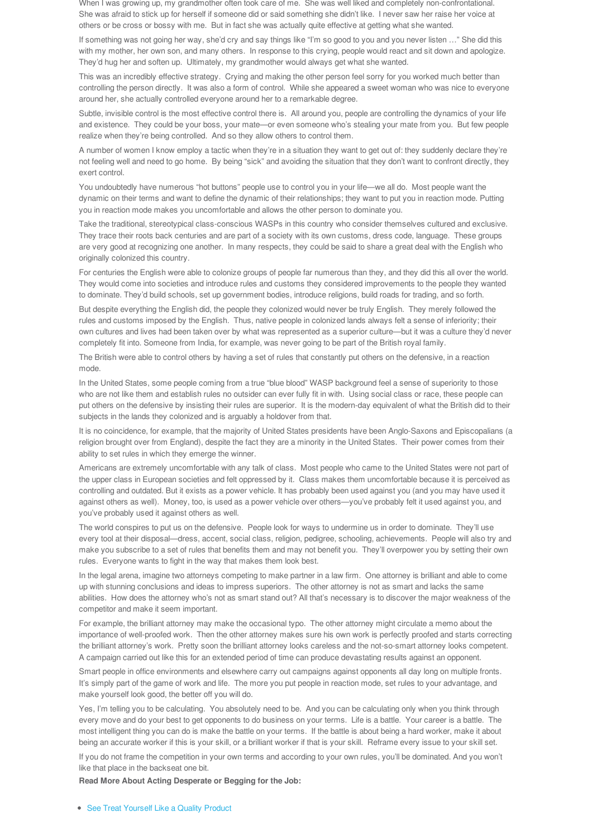When I was growing up, my grandmother often took care of me. She was well liked and completely non-confrontational. She was afraid to stick up for herself if someone did or said something she didn't like. I never saw her raise her voice at others or be cross or bossy with me. But in fact she was actually quite effective at getting what she wanted.

If something was not going her way, she'd cry and say things like "I'm so good to you and you never listen …" She did this with my mother, her own son, and many others. In response to this crying, people would react and sit down and apologize. They'd hug her and soften up. Ultimately, my grandmother would always get what she wanted.

This was an incredibly effective strategy. Crying and making the other person feel sorry for you worked much better than controlling the person directly. It was also a form of control. While she appeared a sweet woman who was nice to everyone around her, she actually controlled everyone around her to a remarkable degree.

Subtle, invisible control is the most effective control there is. All around you, people are controlling the dynamics of your life and existence. They could be your boss, your mate—or even someone who's stealing your mate from you. But few people realize when they're being controlled. And so they allow others to control them.

A number of women I know employ a tactic when they're in a situation they want to get out of: they suddenly declare they're not feeling well and need to go home. By being "sick" and avoiding the situation that they don't want to confront directly, they exert control.

You undoubtedly have numerous "hot buttons" people use to control you in your life—we all do. Most people want the dynamic on their terms and want to define the dynamic of their relationships; they want to put you in reaction mode. Putting you in reaction mode makes you uncomfortable and allows the other person to dominate you.

Take the traditional, stereotypical class-conscious WASPs in this country who consider themselves cultured and exclusive. They trace their roots back centuries and are part of a society with its own customs, dress code, language. These groups are very good at recognizing one another. In many respects, they could be said to share a great deal with the English who originally colonized this country.

For centuries the English were able to colonize groups of people far numerous than they, and they did this all over the world. They would come into societies and introduce rules and customs they considered improvements to the people they wanted to dominate. They'd build schools, set up government bodies, introduce religions, build roads for trading, and so forth.

But despite everything the English did, the people they colonized would never be truly English. They merely followed the rules and customs imposed by the English. Thus, native people in colonized lands always felt a sense of inferiority; their own cultures and lives had been taken over by what was represented as a superior culture—but it was a culture they'd never completely fit into. Someone from India, for example, was never going to be part of the British royal family.

The British were able to control others by having a set of rules that constantly put others on the defensive, in a reaction mode.

In the United States, some people coming from a true "blue blood" WASP background feel a sense of superiority to those who are not like them and establish rules no outsider can ever fully fit in with. Using social class or race, these people can put others on the defensive by insisting their rules are superior. It is the modern-day equivalent of what the British did to their subjects in the lands they colonized and is arguably a holdover from that.

It is no coincidence, for example, that the majority of United States presidents have been Anglo-Saxons and Episcopalians (a religion brought over from England), despite the fact they are a minority in the United States. Their power comes from their ability to set rules in which they emerge the winner.

Americans are extremely uncomfortable with any talk of class. Most people who came to the United States were not part of the upper class in European societies and felt oppressed by it. Class makes them uncomfortable because it is perceived as controlling and outdated. But it exists as a power vehicle. It has probably been used against you (and you may have used it against others as well). Money, too, is used as a power vehicle over others—you've probably felt it used against you, and you've probably used it against others as well.

The world conspires to put us on the defensive. People look for ways to undermine us in order to dominate. They'll use every tool at their disposal—dress, accent, social class, religion, pedigree, schooling, achievements. People will also try and make you subscribe to a set of rules that benefits them and may not benefit you. They'll overpower you by setting their own rules. Everyone wants to fight in the way that makes them look best.

In the legal arena, imagine two attorneys competing to make partner in a law firm. One attorney is brilliant and able to come up with stunning conclusions and ideas to impress superiors. The other attorney is not as smart and lacks the same abilities. How does the attorney who's not as smart stand out? All that's necessary is to discover the major weakness of the competitor and make it seem important.

For example, the brilliant attorney may make the occasional typo. The other attorney might circulate a memo about the importance of well-proofed work. Then the other attorney makes sure his own work is perfectly proofed and starts correcting the brilliant attorney's work. Pretty soon the brilliant attorney looks careless and the not-so-smart attorney looks competent. A campaign carried out like this for an extended period of time can produce devastating results against an opponent.

Smart people in office environments and elsewhere carry out campaigns against opponents all day long on multiple fronts. It's simply part of the game of work and life. The more you put people in reaction mode, set rules to your advantage, and make yourself look good, the better off you will do.

Yes, I'm telling you to be calculating. You absolutely need to be. And you can be calculating only when you think through every move and do your best to get opponents to do business on your terms. Life is a battle. Your career is a battle. The most intelligent thing you can do is make the battle on your terms. If the battle is about being a hard worker, make it about being an accurate worker if this is your skill, or a brilliant worker if that is your skill. Reframe every issue to your skill set.

If you do not frame the competition in your own terms and according to your own rules, you'll be dominated. And you won't like that place in the backseat one bit.

**Read More About Acting Desperate or Begging for the Job:**